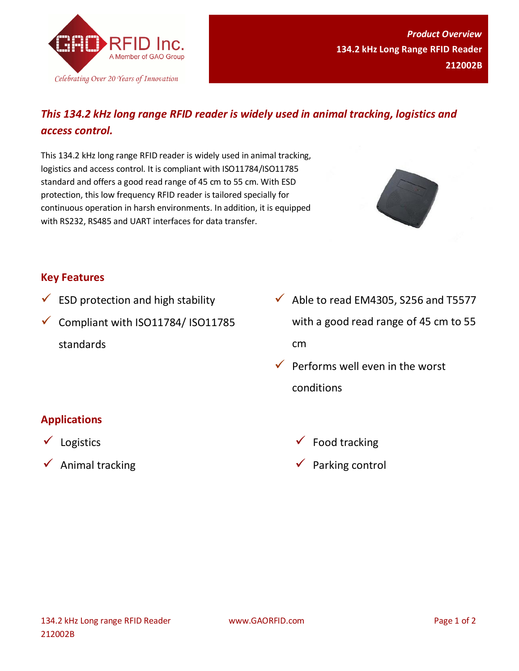

# *This 134.2 kHz long range RFID reader is widely used in animal tracking, logistics and access control.*

This 134.2 kHz long range RFID reader is widely used in animal tracking, logistics and access control. It is compliant with ISO11784/ISO11785 standard and offers a good read range of 45 cm to 55 cm. With ESD protection, this low frequency RFID reader is tailored specially for continuous operation in harsh environments. In addition, it is equipped with RS232, RS485 and UART interfaces for data transfer.



### **Key Features**

- $\checkmark$  ESD protection and high stability
- $\checkmark$  Compliant with ISO11784/ ISO11785 standards
- $\checkmark$  Able to read EM4305, S256 and T5577 with a good read range of 45 cm to 55 cm
- $\checkmark$  Performs well even in the worst conditions

## **Applications**

- $\checkmark$  Logistics
- $\checkmark$  Animal tracking
- $\checkmark$  Food tracking
- $\checkmark$  Parking control